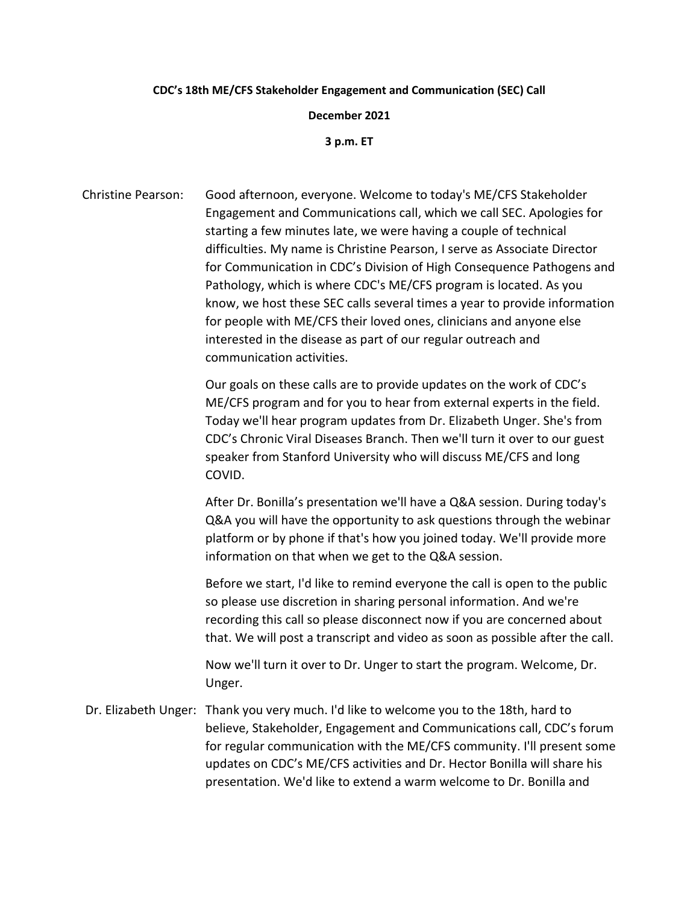## **CDC's 18th ME/CFS Stakeholder Engagement and Communication (SEC) Call**

**December 2021**

**3 p.m. ET**

Christine Pearson: Good afternoon, everyone. Welcome to today's ME/CFS Stakeholder Engagement and Communications call, which we call SEC. Apologies for starting a few minutes late, we were having a couple of technical difficulties. My name is Christine Pearson, I serve as Associate Director for Communication in CDC's Division of High Consequence Pathogens and Pathology, which is where CDC's ME/CFS program is located. As you know, we host these SEC calls several times a year to provide information for people with ME/CFS their loved ones, clinicians and anyone else interested in the disease as part of our regular outreach and communication activities.

> Our goals on these calls are to provide updates on the work of CDC's ME/CFS program and for you to hear from external experts in the field. Today we'll hear program updates from Dr. Elizabeth Unger. She's from CDC's Chronic Viral Diseases Branch. Then we'll turn it over to our guest speaker from Stanford University who will discuss ME/CFS and long COVID.

After Dr. Bonilla's presentation we'll have a Q&A session. During today's Q&A you will have the opportunity to ask questions through the webinar platform or by phone if that's how you joined today. We'll provide more information on that when we get to the Q&A session.

Before we start, I'd like to remind everyone the call is open to the public so please use discretion in sharing personal information. And we're recording this call so please disconnect now if you are concerned about that. We will post a transcript and video as soon as possible after the call.

Now we'll turn it over to Dr. Unger to start the program. Welcome, Dr. Unger.

Dr. Elizabeth Unger: Thank you very much. I'd like to welcome you to the 18th, hard to believe, Stakeholder, Engagement and Communications call, CDC's forum for regular communication with the ME/CFS community. I'll present some updates on CDC's ME/CFS activities and Dr. Hector Bonilla will share his presentation. We'd like to extend a warm welcome to Dr. Bonilla and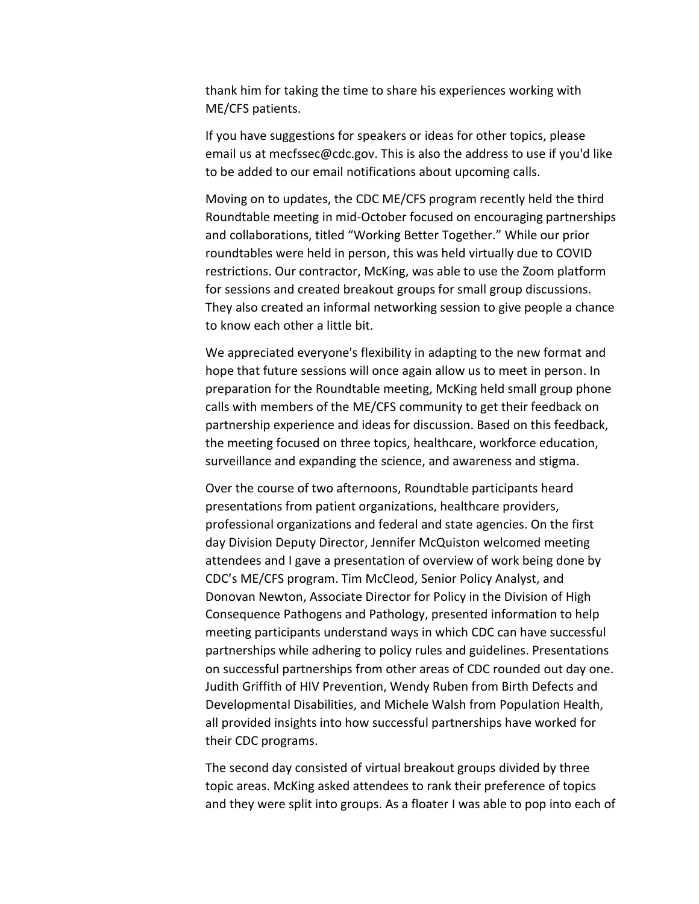thank him for taking the time to share his experiences working with ME/CFS patients.

If you have suggestions for speakers or ideas for other topics, please email us at mecfssec@cdc.gov. This is also the address to use if you'd like to be added to our email notifications about upcoming calls.

Moving on to updates, the CDC ME/CFS program recently held the third Roundtable meeting in mid-October focused on encouraging partnerships and collaborations, titled "Working Better Together." While our prior roundtables were held in person, this was held virtually due to COVID restrictions. Our contractor, McKing, was able to use the Zoom platform for sessions and created breakout groups for small group discussions. They also created an informal networking session to give people a chance to know each other a little bit.

We appreciated everyone's flexibility in adapting to the new format and hope that future sessions will once again allow us to meet in person. In preparation for the Roundtable meeting, McKing held small group phone calls with members of the ME/CFS community to get their feedback on partnership experience and ideas for discussion. Based on this feedback, the meeting focused on three topics, healthcare, workforce education, surveillance and expanding the science, and awareness and stigma.

Over the course of two afternoons, Roundtable participants heard presentations from patient organizations, healthcare providers, professional organizations and federal and state agencies. On the first day Division Deputy Director, Jennifer McQuiston welcomed meeting attendees and I gave a presentation of overview of work being done by CDC's ME/CFS program. Tim McCleod, Senior Policy Analyst, and Donovan Newton, Associate Director for Policy in the Division of High Consequence Pathogens and Pathology, presented information to help meeting participants understand ways in which CDC can have successful partnerships while adhering to policy rules and guidelines. Presentations on successful partnerships from other areas of CDC rounded out day one. Judith Griffith of HIV Prevention, Wendy Ruben from Birth Defects and Developmental Disabilities, and Michele Walsh from Population Health, all provided insights into how successful partnerships have worked for their CDC programs.

The second day consisted of virtual breakout groups divided by three topic areas. McKing asked attendees to rank their preference of topics and they were split into groups. As a floater I was able to pop into each of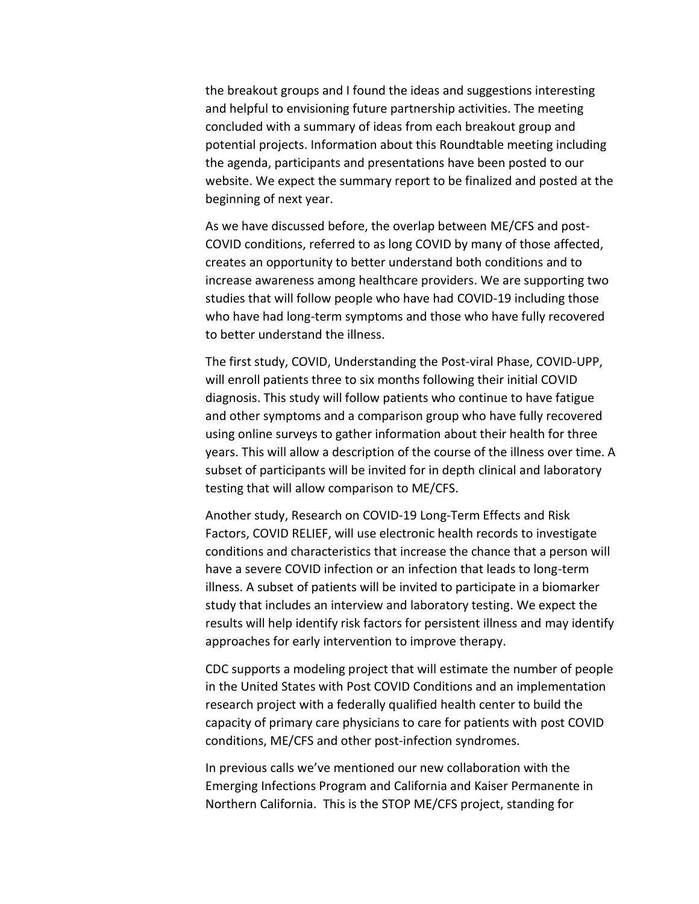the breakout groups and I found the ideas and suggestions interesting and helpful to envisioning future partnership activities. The meeting concluded with a summary of ideas from each breakout group and potential projects. Information about this Roundtable meeting including the agenda, participants and presentations have been posted to our website. We expect the summary report to be finalized and posted at the beginning of next year.

As we have discussed before, the overlap between ME/CFS and post-COVID conditions, referred to as long COVID by many of those affected, creates an opportunity to better understand both conditions and to increase awareness among healthcare providers. We are supporting two studies that will follow people who have had COVID-19 including those who have had long-term symptoms and those who have fully recovered to better understand the illness.

The first study, COVID, Understanding the Post-viral Phase, COVID-UPP, will enroll patients three to six months following their initial COVID diagnosis. This study will follow patients who continue to have fatigue and other symptoms and a comparison group who have fully recovered using online surveys to gather information about their health for three years. This will allow a description of the course of the illness over time. A subset of participants will be invited for in depth clinical and laboratory testing that will allow comparison to ME/CFS.

Another study, Research on COVID-19 Long-Term Effects and Risk Factors, COVID RELIEF, will use electronic health records to investigate conditions and characteristics that increase the chance that a person will have a severe COVID infection or an infection that leads to long-term illness. A subset of patients will be invited to participate in a biomarker study that includes an interview and laboratory testing. We expect the results will help identify risk factors for persistent illness and may identify approaches for early intervention to improve therapy.

CDC supports a modeling project that will estimate the number of people in the United States with Post COVID Conditions and an implementation research project with a federally qualified health center to build the capacity of primary care physicians to care for patients with post COVID conditions, ME/CFS and other post-infection syndromes.

In previous calls we've mentioned our new collaboration with the Emerging Infections Program and California and Kaiser Permanente in Northern California. This is the STOP ME/CFS project, standing for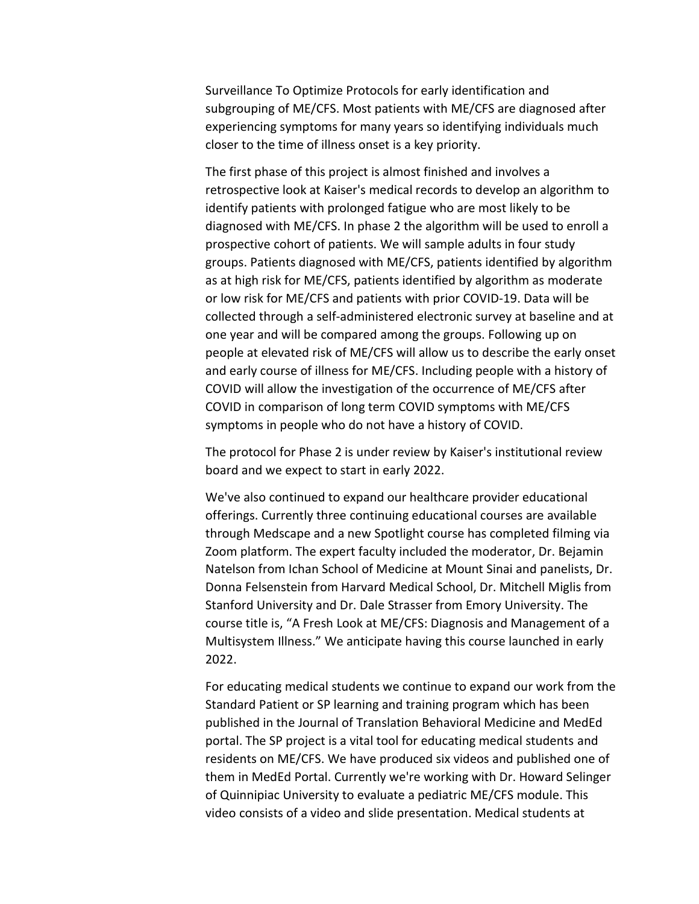Surveillance To Optimize Protocols for early identification and subgrouping of ME/CFS. Most patients with ME/CFS are diagnosed after experiencing symptoms for many years so identifying individuals much closer to the time of illness onset is a key priority.

The first phase of this project is almost finished and involves a retrospective look at Kaiser's medical records to develop an algorithm to identify patients with prolonged fatigue who are most likely to be diagnosed with ME/CFS. In phase 2 the algorithm will be used to enroll a prospective cohort of patients. We will sample adults in four study groups. Patients diagnosed with ME/CFS, patients identified by algorithm as at high risk for ME/CFS, patients identified by algorithm as moderate or low risk for ME/CFS and patients with prior COVID-19. Data will be collected through a self-administered electronic survey at baseline and at one year and will be compared among the groups. Following up on people at elevated risk of ME/CFS will allow us to describe the early onset and early course of illness for ME/CFS. Including people with a history of COVID will allow the investigation of the occurrence of ME/CFS after COVID in comparison of long term COVID symptoms with ME/CFS symptoms in people who do not have a history of COVID.

The protocol for Phase 2 is under review by Kaiser's institutional review board and we expect to start in early 2022.

We've also continued to expand our healthcare provider educational offerings. Currently three continuing educational courses are available through Medscape and a new Spotlight course has completed filming via Zoom platform. The expert faculty included the moderator, Dr. Bejamin Natelson from Ichan School of Medicine at Mount Sinai and panelists, Dr. Donna Felsenstein from Harvard Medical School, Dr. Mitchell Miglis from Stanford University and Dr. Dale Strasser from Emory University. The course title is, "A Fresh Look at ME/CFS: Diagnosis and Management of a Multisystem Illness." We anticipate having this course launched in early 2022.

For educating medical students we continue to expand our work from the Standard Patient or SP learning and training program which has been published in the Journal of Translation Behavioral Medicine and MedEd portal. The SP project is a vital tool for educating medical students and residents on ME/CFS. We have produced six videos and published one of them in MedEd Portal. Currently we're working with Dr. Howard Selinger of Quinnipiac University to evaluate a pediatric ME/CFS module. This video consists of a video and slide presentation. Medical students at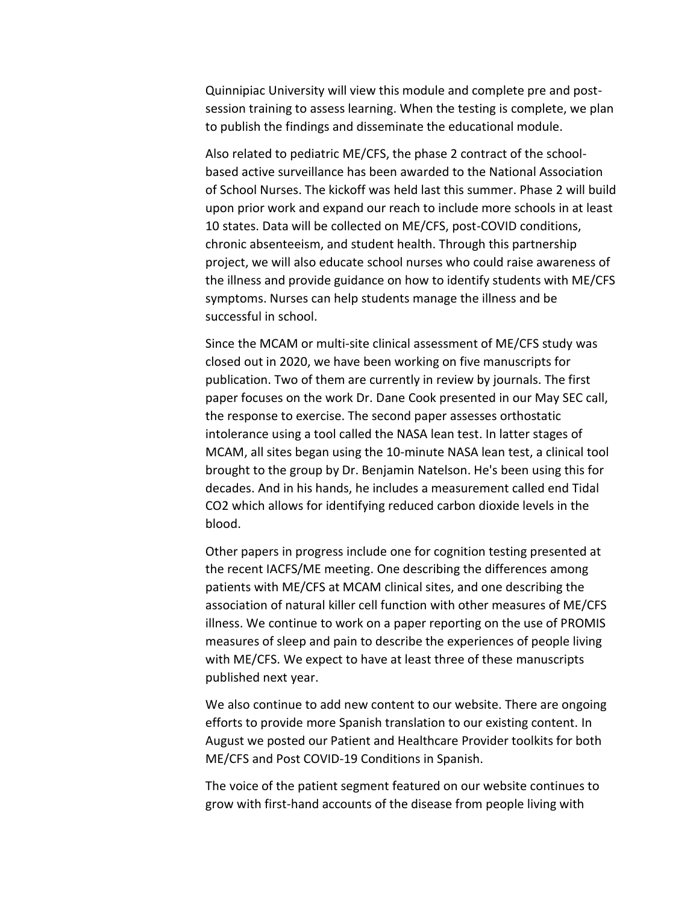Quinnipiac University will view this module and complete pre and postsession training to assess learning. When the testing is complete, we plan to publish the findings and disseminate the educational module.

Also related to pediatric ME/CFS, the phase 2 contract of the schoolbased active surveillance has been awarded to the National Association of School Nurses. The kickoff was held last this summer. Phase 2 will build upon prior work and expand our reach to include more schools in at least 10 states. Data will be collected on ME/CFS, post-COVID conditions, chronic absenteeism, and student health. Through this partnership project, we will also educate school nurses who could raise awareness of the illness and provide guidance on how to identify students with ME/CFS symptoms. Nurses can help students manage the illness and be successful in school.

Since the MCAM or multi-site clinical assessment of ME/CFS study was closed out in 2020, we have been working on five manuscripts for publication. Two of them are currently in review by journals. The first paper focuses on the work Dr. Dane Cook presented in our May SEC call, the response to exercise. The second paper assesses orthostatic intolerance using a tool called the NASA lean test. In latter stages of MCAM, all sites began using the 10-minute NASA lean test, a clinical tool brought to the group by Dr. Benjamin Natelson. He's been using this for decades. And in his hands, he includes a measurement called end Tidal CO2 which allows for identifying reduced carbon dioxide levels in the blood.

Other papers in progress include one for cognition testing presented at the recent IACFS/ME meeting. One describing the differences among patients with ME/CFS at MCAM clinical sites, and one describing the association of natural killer cell function with other measures of ME/CFS illness. We continue to work on a paper reporting on the use of PROMIS measures of sleep and pain to describe the experiences of people living with ME/CFS. We expect to have at least three of these manuscripts published next year.

We also continue to add new content to our website. There are ongoing efforts to provide more Spanish translation to our existing content. In August we posted our Patient and Healthcare Provider toolkits for both ME/CFS and Post COVID-19 Conditions in Spanish.

The voice of the patient segment featured on our website continues to grow with first-hand accounts of the disease from people living with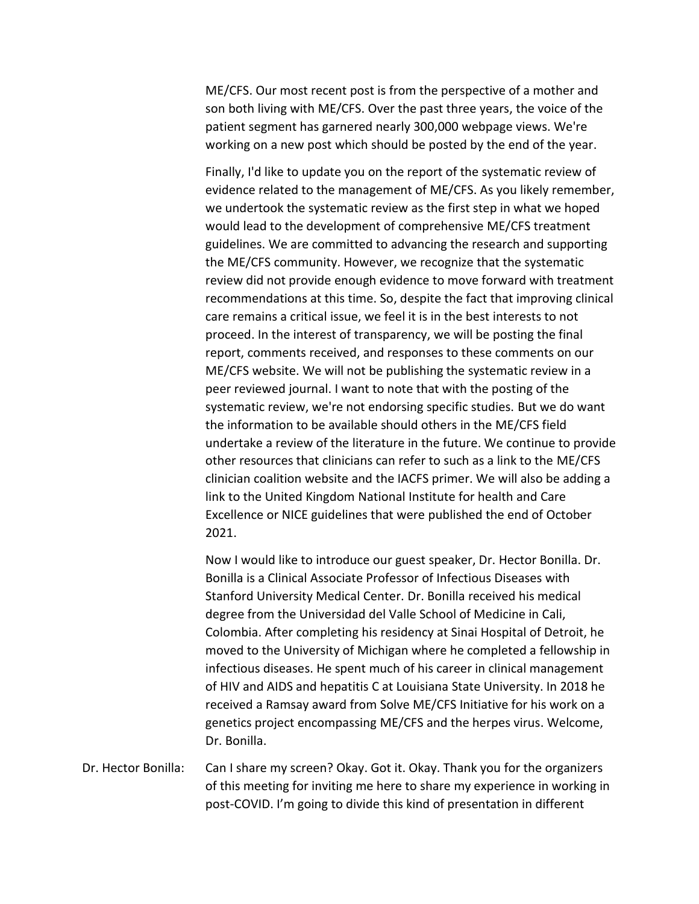ME/CFS. Our most recent post is from the perspective of a mother and son both living with ME/CFS. Over the past three years, the voice of the patient segment has garnered nearly 300,000 webpage views. We're working on a new post which should be posted by the end of the year.

Finally, I'd like to update you on the report of the systematic review of evidence related to the management of ME/CFS. As you likely remember, we undertook the systematic review as the first step in what we hoped would lead to the development of comprehensive ME/CFS treatment guidelines. We are committed to advancing the research and supporting the ME/CFS community. However, we recognize that the systematic review did not provide enough evidence to move forward with treatment recommendations at this time. So, despite the fact that improving clinical care remains a critical issue, we feel it is in the best interests to not proceed. In the interest of transparency, we will be posting the final report, comments received, and responses to these comments on our ME/CFS website. We will not be publishing the systematic review in a peer reviewed journal. I want to note that with the posting of the systematic review, we're not endorsing specific studies. But we do want the information to be available should others in the ME/CFS field undertake a review of the literature in the future. We continue to provide other resources that clinicians can refer to such as a link to the ME/CFS clinician coalition website and the IACFS primer. We will also be adding a link to the United Kingdom National Institute for health and Care Excellence or NICE guidelines that were published the end of October 2021.

Now I would like to introduce our guest speaker, Dr. Hector Bonilla. Dr. Bonilla is a Clinical Associate Professor of Infectious Diseases with Stanford University Medical Center. Dr. Bonilla received his medical degree from the Universidad del Valle School of Medicine in Cali, Colombia. After completing his residency at Sinai Hospital of Detroit, he moved to the University of Michigan where he completed a fellowship in infectious diseases. He spent much of his career in clinical management of HIV and AIDS and hepatitis C at Louisiana State University. In 2018 he received a Ramsay award from Solve ME/CFS Initiative for his work on a genetics project encompassing ME/CFS and the herpes virus. Welcome, Dr. Bonilla.

Dr. Hector Bonilla: Can I share my screen? Okay. Got it. Okay. Thank you for the organizers of this meeting for inviting me here to share my experience in working in post-COVID. I'm going to divide this kind of presentation in different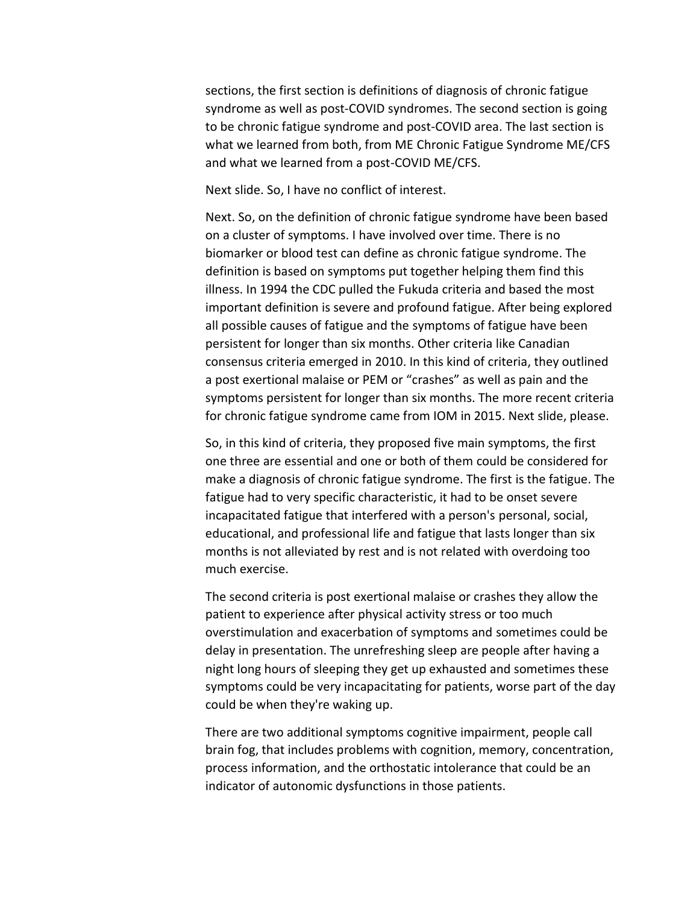sections, the first section is definitions of diagnosis of chronic fatigue syndrome as well as post-COVID syndromes. The second section is going to be chronic fatigue syndrome and post-COVID area. The last section is what we learned from both, from ME Chronic Fatigue Syndrome ME/CFS and what we learned from a post-COVID ME/CFS.

Next slide. So, I have no conflict of interest.

Next. So, on the definition of chronic fatigue syndrome have been based on a cluster of symptoms. I have involved over time. There is no biomarker or blood test can define as chronic fatigue syndrome. The definition is based on symptoms put together helping them find this illness. In 1994 the CDC pulled the Fukuda criteria and based the most important definition is severe and profound fatigue. After being explored all possible causes of fatigue and the symptoms of fatigue have been persistent for longer than six months. Other criteria like Canadian consensus criteria emerged in 2010. In this kind of criteria, they outlined a post exertional malaise or PEM or "crashes" as well as pain and the symptoms persistent for longer than six months. The more recent criteria for chronic fatigue syndrome came from IOM in 2015. Next slide, please.

So, in this kind of criteria, they proposed five main symptoms, the first one three are essential and one or both of them could be considered for make a diagnosis of chronic fatigue syndrome. The first is the fatigue. The fatigue had to very specific characteristic, it had to be onset severe incapacitated fatigue that interfered with a person's personal, social, educational, and professional life and fatigue that lasts longer than six months is not alleviated by rest and is not related with overdoing too much exercise.

The second criteria is post exertional malaise or crashes they allow the patient to experience after physical activity stress or too much overstimulation and exacerbation of symptoms and sometimes could be delay in presentation. The unrefreshing sleep are people after having a night long hours of sleeping they get up exhausted and sometimes these symptoms could be very incapacitating for patients, worse part of the day could be when they're waking up.

There are two additional symptoms cognitive impairment, people call brain fog, that includes problems with cognition, memory, concentration, process information, and the orthostatic intolerance that could be an indicator of autonomic dysfunctions in those patients.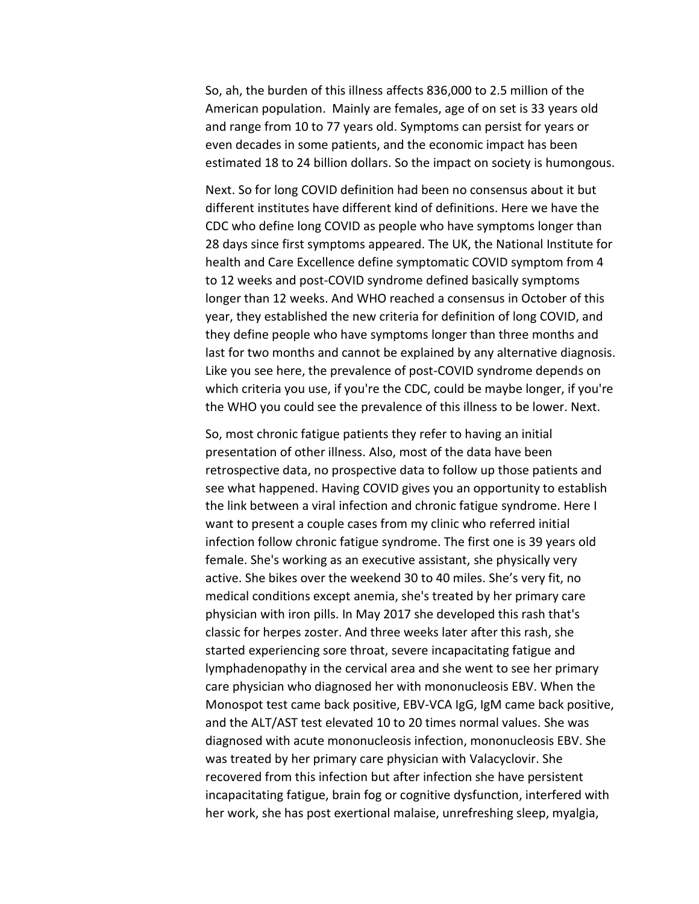So, ah, the burden of this illness affects 836,000 to 2.5 million of the American population. Mainly are females, age of on set is 33 years old and range from 10 to 77 years old. Symptoms can persist for years or even decades in some patients, and the economic impact has been estimated 18 to 24 billion dollars. So the impact on society is humongous.

Next. So for long COVID definition had been no consensus about it but different institutes have different kind of definitions. Here we have the CDC who define long COVID as people who have symptoms longer than 28 days since first symptoms appeared. The UK, the National Institute for health and Care Excellence define symptomatic COVID symptom from 4 to 12 weeks and post-COVID syndrome defined basically symptoms longer than 12 weeks. And WHO reached a consensus in October of this year, they established the new criteria for definition of long COVID, and they define people who have symptoms longer than three months and last for two months and cannot be explained by any alternative diagnosis. Like you see here, the prevalence of post-COVID syndrome depends on which criteria you use, if you're the CDC, could be maybe longer, if you're the WHO you could see the prevalence of this illness to be lower. Next.

So, most chronic fatigue patients they refer to having an initial presentation of other illness. Also, most of the data have been retrospective data, no prospective data to follow up those patients and see what happened. Having COVID gives you an opportunity to establish the link between a viral infection and chronic fatigue syndrome. Here I want to present a couple cases from my clinic who referred initial infection follow chronic fatigue syndrome. The first one is 39 years old female. She's working as an executive assistant, she physically very active. She bikes over the weekend 30 to 40 miles. She's very fit, no medical conditions except anemia, she's treated by her primary care physician with iron pills. In May 2017 she developed this rash that's classic for herpes zoster. And three weeks later after this rash, she started experiencing sore throat, severe incapacitating fatigue and lymphadenopathy in the cervical area and she went to see her primary care physician who diagnosed her with mononucleosis EBV. When the Monospot test came back positive, EBV-VCA IgG, IgM came back positive, and the ALT/AST test elevated 10 to 20 times normal values. She was diagnosed with acute mononucleosis infection, mononucleosis EBV. She was treated by her primary care physician with Valacyclovir. She recovered from this infection but after infection she have persistent incapacitating fatigue, brain fog or cognitive dysfunction, interfered with her work, she has post exertional malaise, unrefreshing sleep, myalgia,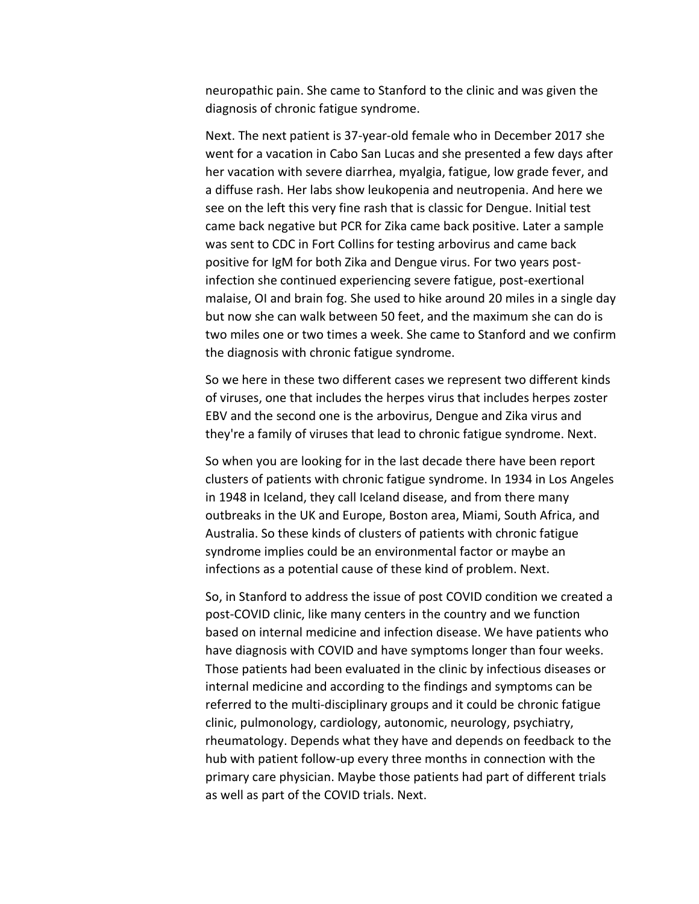neuropathic pain. She came to Stanford to the clinic and was given the diagnosis of chronic fatigue syndrome.

Next. The next patient is 37-year-old female who in December 2017 she went for a vacation in Cabo San Lucas and she presented a few days after her vacation with severe diarrhea, myalgia, fatigue, low grade fever, and a diffuse rash. Her labs show leukopenia and neutropenia. And here we see on the left this very fine rash that is classic for Dengue. Initial test came back negative but PCR for Zika came back positive. Later a sample was sent to CDC in Fort Collins for testing arbovirus and came back positive for IgM for both Zika and Dengue virus. For two years postinfection she continued experiencing severe fatigue, post-exertional malaise, OI and brain fog. She used to hike around 20 miles in a single day but now she can walk between 50 feet, and the maximum she can do is two miles one or two times a week. She came to Stanford and we confirm the diagnosis with chronic fatigue syndrome.

So we here in these two different cases we represent two different kinds of viruses, one that includes the herpes virus that includes herpes zoster EBV and the second one is the arbovirus, Dengue and Zika virus and they're a family of viruses that lead to chronic fatigue syndrome. Next.

So when you are looking for in the last decade there have been report clusters of patients with chronic fatigue syndrome. In 1934 in Los Angeles in 1948 in Iceland, they call Iceland disease, and from there many outbreaks in the UK and Europe, Boston area, Miami, South Africa, and Australia. So these kinds of clusters of patients with chronic fatigue syndrome implies could be an environmental factor or maybe an infections as a potential cause of these kind of problem. Next.

So, in Stanford to address the issue of post COVID condition we created a post-COVID clinic, like many centers in the country and we function based on internal medicine and infection disease. We have patients who have diagnosis with COVID and have symptoms longer than four weeks. Those patients had been evaluated in the clinic by infectious diseases or internal medicine and according to the findings and symptoms can be referred to the multi-disciplinary groups and it could be chronic fatigue clinic, pulmonology, cardiology, autonomic, neurology, psychiatry, rheumatology. Depends what they have and depends on feedback to the hub with patient follow-up every three months in connection with the primary care physician. Maybe those patients had part of different trials as well as part of the COVID trials. Next.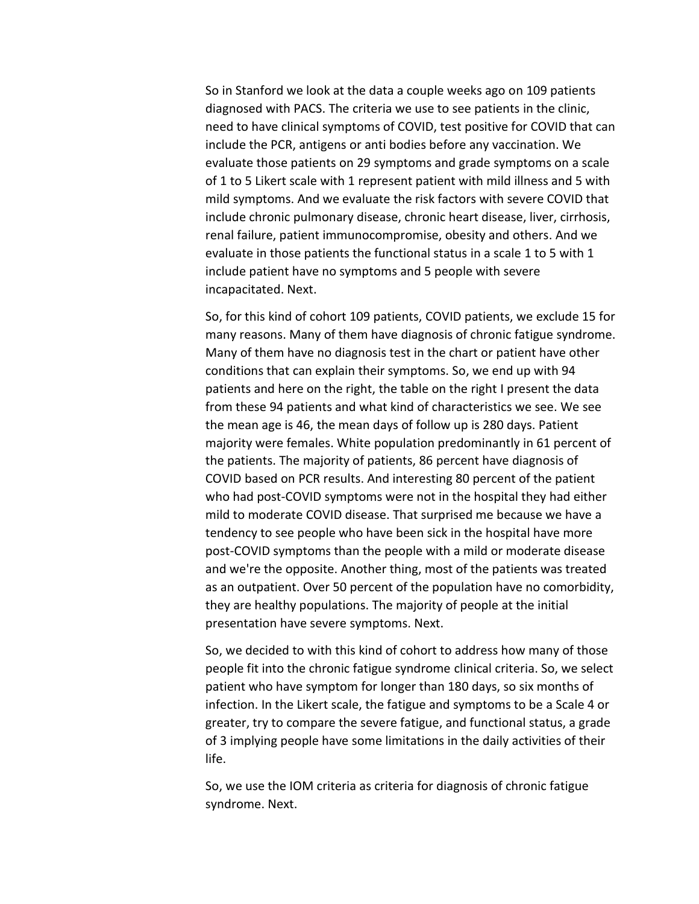So in Stanford we look at the data a couple weeks ago on 109 patients diagnosed with PACS. The criteria we use to see patients in the clinic, need to have clinical symptoms of COVID, test positive for COVID that can include the PCR, antigens or anti bodies before any vaccination. We evaluate those patients on 29 symptoms and grade symptoms on a scale of 1 to 5 Likert scale with 1 represent patient with mild illness and 5 with mild symptoms. And we evaluate the risk factors with severe COVID that include chronic pulmonary disease, chronic heart disease, liver, cirrhosis, renal failure, patient immunocompromise, obesity and others. And we evaluate in those patients the functional status in a scale 1 to 5 with 1 include patient have no symptoms and 5 people with severe incapacitated. Next.

So, for this kind of cohort 109 patients, COVID patients, we exclude 15 for many reasons. Many of them have diagnosis of chronic fatigue syndrome. Many of them have no diagnosis test in the chart or patient have other conditions that can explain their symptoms. So, we end up with 94 patients and here on the right, the table on the right I present the data from these 94 patients and what kind of characteristics we see. We see the mean age is 46, the mean days of follow up is 280 days. Patient majority were females. White population predominantly in 61 percent of the patients. The majority of patients, 86 percent have diagnosis of COVID based on PCR results. And interesting 80 percent of the patient who had post-COVID symptoms were not in the hospital they had either mild to moderate COVID disease. That surprised me because we have a tendency to see people who have been sick in the hospital have more post-COVID symptoms than the people with a mild or moderate disease and we're the opposite. Another thing, most of the patients was treated as an outpatient. Over 50 percent of the population have no comorbidity, they are healthy populations. The majority of people at the initial presentation have severe symptoms. Next.

So, we decided to with this kind of cohort to address how many of those people fit into the chronic fatigue syndrome clinical criteria. So, we select patient who have symptom for longer than 180 days, so six months of infection. In the Likert scale, the fatigue and symptoms to be a Scale 4 or greater, try to compare the severe fatigue, and functional status, a grade of 3 implying people have some limitations in the daily activities of their life.

So, we use the IOM criteria as criteria for diagnosis of chronic fatigue syndrome. Next.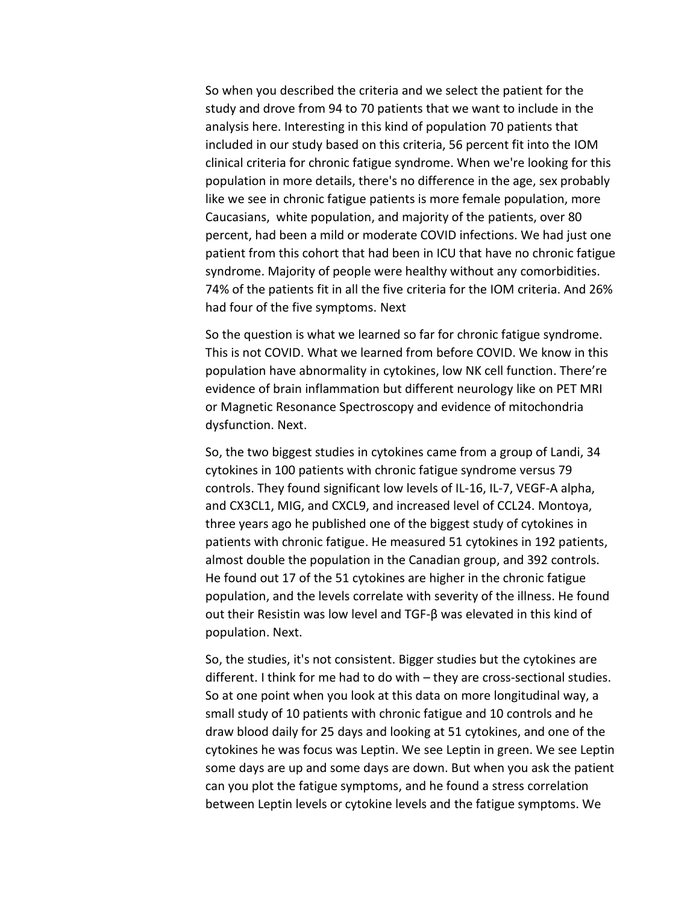So when you described the criteria and we select the patient for the study and drove from 94 to 70 patients that we want to include in the analysis here. Interesting in this kind of population 70 patients that included in our study based on this criteria, 56 percent fit into the IOM clinical criteria for chronic fatigue syndrome. When we're looking for this population in more details, there's no difference in the age, sex probably like we see in chronic fatigue patients is more female population, more Caucasians, white population, and majority of the patients, over 80 percent, had been a mild or moderate COVID infections. We had just one patient from this cohort that had been in ICU that have no chronic fatigue syndrome. Majority of people were healthy without any comorbidities. 74% of the patients fit in all the five criteria for the IOM criteria. And 26% had four of the five symptoms. Next

So the question is what we learned so far for chronic fatigue syndrome. This is not COVID. What we learned from before COVID. We know in this population have abnormality in cytokines, low NK cell function. There're evidence of brain inflammation but different neurology like on PET MRI or Magnetic Resonance Spectroscopy and evidence of mitochondria dysfunction. Next.

So, the two biggest studies in cytokines came from a group of Landi, 34 cytokines in 100 patients with chronic fatigue syndrome versus 79 controls. They found significant low levels of IL-16, IL-7, VEGF-A alpha, and CX3CL1, MIG, and CXCL9, and increased level of CCL24. Montoya, three years ago he published one of the biggest study of cytokines in patients with chronic fatigue. He measured 51 cytokines in 192 patients, almost double the population in the Canadian group, and 392 controls. He found out 17 of the 51 cytokines are higher in the chronic fatigue population, and the levels correlate with severity of the illness. He found out their Resistin was low level and TGF-β was elevated in this kind of population. Next.

So, the studies, it's not consistent. Bigger studies but the cytokines are different. I think for me had to do with – they are cross-sectional studies. So at one point when you look at this data on more longitudinal way, a small study of 10 patients with chronic fatigue and 10 controls and he draw blood daily for 25 days and looking at 51 cytokines, and one of the cytokines he was focus was Leptin. We see Leptin in green. We see Leptin some days are up and some days are down. But when you ask the patient can you plot the fatigue symptoms, and he found a stress correlation between Leptin levels or cytokine levels and the fatigue symptoms. We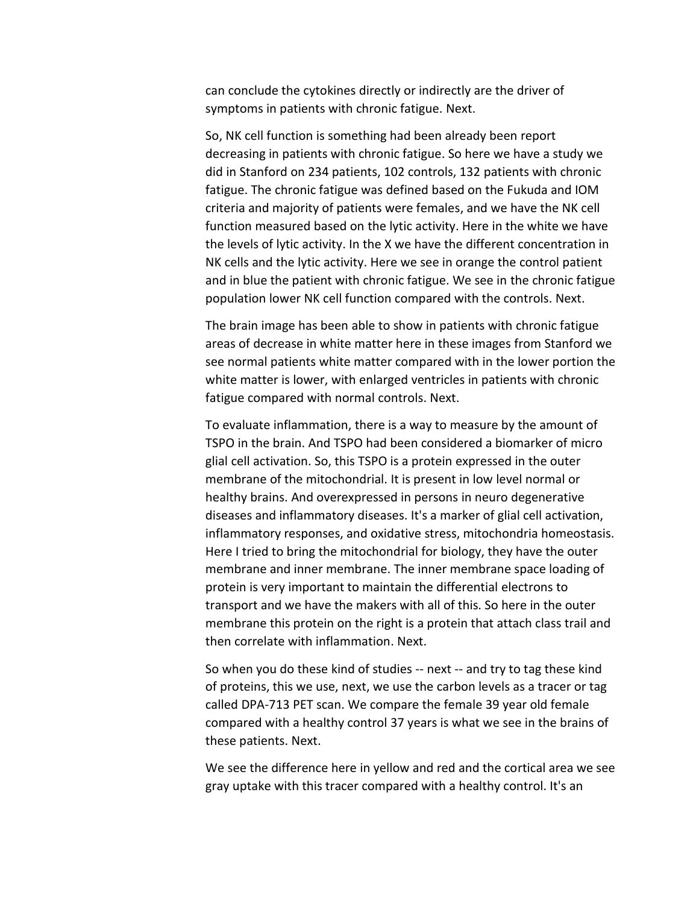can conclude the cytokines directly or indirectly are the driver of symptoms in patients with chronic fatigue. Next.

So, NK cell function is something had been already been report decreasing in patients with chronic fatigue. So here we have a study we did in Stanford on 234 patients, 102 controls, 132 patients with chronic fatigue. The chronic fatigue was defined based on the Fukuda and IOM criteria and majority of patients were females, and we have the NK cell function measured based on the lytic activity. Here in the white we have the levels of lytic activity. In the X we have the different concentration in NK cells and the lytic activity. Here we see in orange the control patient and in blue the patient with chronic fatigue. We see in the chronic fatigue population lower NK cell function compared with the controls. Next.

The brain image has been able to show in patients with chronic fatigue areas of decrease in white matter here in these images from Stanford we see normal patients white matter compared with in the lower portion the white matter is lower, with enlarged ventricles in patients with chronic fatigue compared with normal controls. Next.

To evaluate inflammation, there is a way to measure by the amount of TSPO in the brain. And TSPO had been considered a biomarker of micro glial cell activation. So, this TSPO is a protein expressed in the outer membrane of the mitochondrial. It is present in low level normal or healthy brains. And overexpressed in persons in neuro degenerative diseases and inflammatory diseases. It's a marker of glial cell activation, inflammatory responses, and oxidative stress, mitochondria homeostasis. Here I tried to bring the mitochondrial for biology, they have the outer membrane and inner membrane. The inner membrane space loading of protein is very important to maintain the differential electrons to transport and we have the makers with all of this. So here in the outer membrane this protein on the right is a protein that attach class trail and then correlate with inflammation. Next.

So when you do these kind of studies -- next -- and try to tag these kind of proteins, this we use, next, we use the carbon levels as a tracer or tag called DPA-713 PET scan. We compare the female 39 year old female compared with a healthy control 37 years is what we see in the brains of these patients. Next.

We see the difference here in yellow and red and the cortical area we see gray uptake with this tracer compared with a healthy control. It's an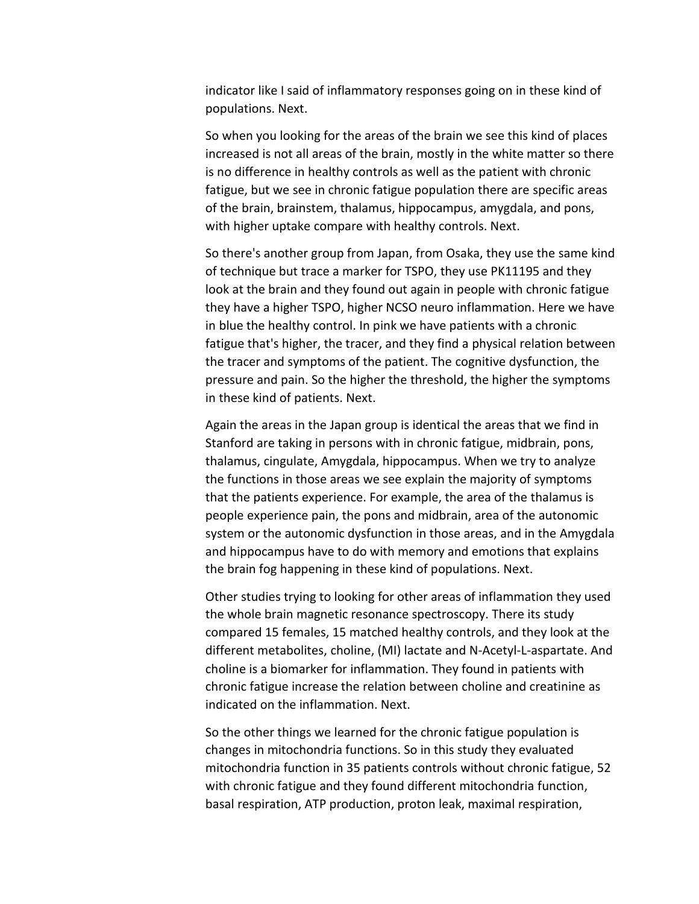indicator like I said of inflammatory responses going on in these kind of populations. Next.

So when you looking for the areas of the brain we see this kind of places increased is not all areas of the brain, mostly in the white matter so there is no difference in healthy controls as well as the patient with chronic fatigue, but we see in chronic fatigue population there are specific areas of the brain, brainstem, thalamus, hippocampus, amygdala, and pons, with higher uptake compare with healthy controls. Next.

So there's another group from Japan, from Osaka, they use the same kind of technique but trace a marker for TSPO, they use PK11195 and they look at the brain and they found out again in people with chronic fatigue they have a higher TSPO, higher NCSO neuro inflammation. Here we have in blue the healthy control. In pink we have patients with a chronic fatigue that's higher, the tracer, and they find a physical relation between the tracer and symptoms of the patient. The cognitive dysfunction, the pressure and pain. So the higher the threshold, the higher the symptoms in these kind of patients. Next.

Again the areas in the Japan group is identical the areas that we find in Stanford are taking in persons with in chronic fatigue, midbrain, pons, thalamus, cingulate, Amygdala, hippocampus. When we try to analyze the functions in those areas we see explain the majority of symptoms that the patients experience. For example, the area of the thalamus is people experience pain, the pons and midbrain, area of the autonomic system or the autonomic dysfunction in those areas, and in the Amygdala and hippocampus have to do with memory and emotions that explains the brain fog happening in these kind of populations. Next.

Other studies trying to looking for other areas of inflammation they used the whole brain magnetic resonance spectroscopy. There its study compared 15 females, 15 matched healthy controls, and they look at the different metabolites, choline, (MI) lactate and N-Acetyl-L-aspartate. And choline is a biomarker for inflammation. They found in patients with chronic fatigue increase the relation between choline and creatinine as indicated on the inflammation. Next.

So the other things we learned for the chronic fatigue population is changes in mitochondria functions. So in this study they evaluated mitochondria function in 35 patients controls without chronic fatigue, 52 with chronic fatigue and they found different mitochondria function, basal respiration, ATP production, proton leak, maximal respiration,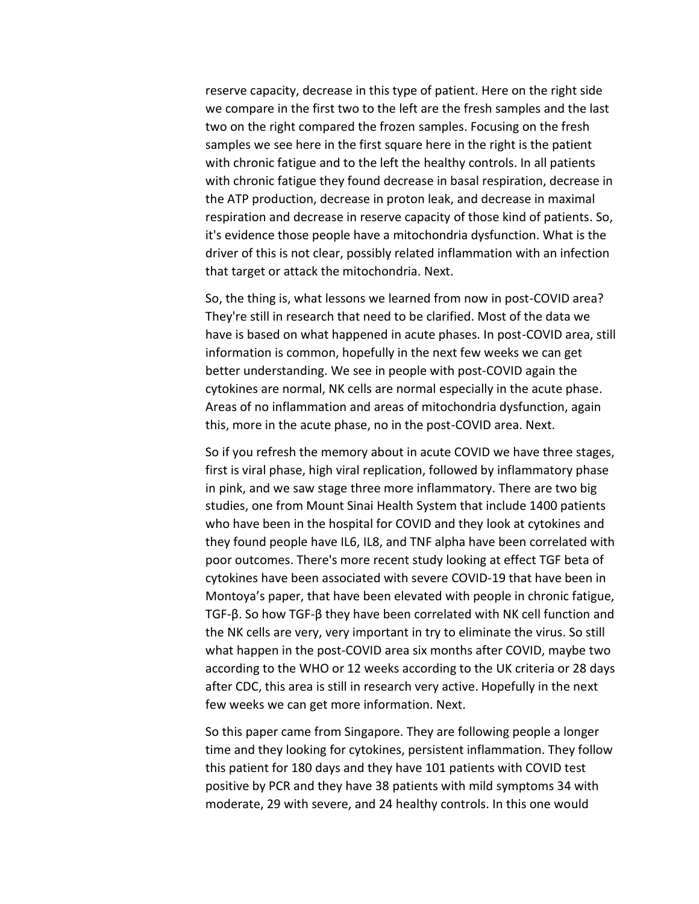reserve capacity, decrease in this type of patient. Here on the right side we compare in the first two to the left are the fresh samples and the last two on the right compared the frozen samples. Focusing on the fresh samples we see here in the first square here in the right is the patient with chronic fatigue and to the left the healthy controls. In all patients with chronic fatigue they found decrease in basal respiration, decrease in the ATP production, decrease in proton leak, and decrease in maximal respiration and decrease in reserve capacity of those kind of patients. So, it's evidence those people have a mitochondria dysfunction. What is the driver of this is not clear, possibly related inflammation with an infection that target or attack the mitochondria. Next.

So, the thing is, what lessons we learned from now in post-COVID area? They're still in research that need to be clarified. Most of the data we have is based on what happened in acute phases. In post-COVID area, still information is common, hopefully in the next few weeks we can get better understanding. We see in people with post-COVID again the cytokines are normal, NK cells are normal especially in the acute phase. Areas of no inflammation and areas of mitochondria dysfunction, again this, more in the acute phase, no in the post-COVID area. Next.

So if you refresh the memory about in acute COVID we have three stages, first is viral phase, high viral replication, followed by inflammatory phase in pink, and we saw stage three more inflammatory. There are two big studies, one from Mount Sinai Health System that include 1400 patients who have been in the hospital for COVID and they look at cytokines and they found people have IL6, IL8, and TNF alpha have been correlated with poor outcomes. There's more recent study looking at effect TGF beta of cytokines have been associated with severe COVID-19 that have been in Montoya's paper, that have been elevated with people in chronic fatigue, TGF-β. So how TGF-β they have been correlated with NK cell function and the NK cells are very, very important in try to eliminate the virus. So still what happen in the post-COVID area six months after COVID, maybe two according to the WHO or 12 weeks according to the UK criteria or 28 days after CDC, this area is still in research very active. Hopefully in the next few weeks we can get more information. Next.

So this paper came from Singapore. They are following people a longer time and they looking for cytokines, persistent inflammation. They follow this patient for 180 days and they have 101 patients with COVID test positive by PCR and they have 38 patients with mild symptoms 34 with moderate, 29 with severe, and 24 healthy controls. In this one would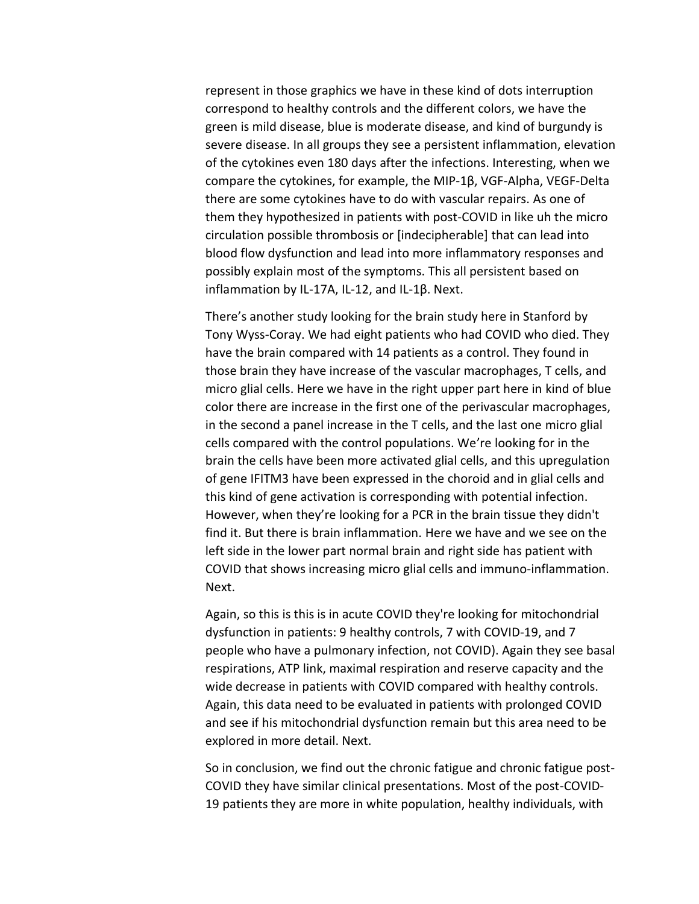represent in those graphics we have in these kind of dots interruption correspond to healthy controls and the different colors, we have the green is mild disease, blue is moderate disease, and kind of burgundy is severe disease. In all groups they see a persistent inflammation, elevation of the cytokines even 180 days after the infections. Interesting, when we compare the cytokines, for example, the MIP-1β, VGF-Alpha, VEGF-Delta there are some cytokines have to do with vascular repairs. As one of them they hypothesized in patients with post-COVID in like uh the micro circulation possible thrombosis or [indecipherable] that can lead into blood flow dysfunction and lead into more inflammatory responses and possibly explain most of the symptoms. This all persistent based on inflammation by IL-17A, IL-12, and IL-1β. Next.

There's another study looking for the brain study here in Stanford by Tony Wyss-Coray. We had eight patients who had COVID who died. They have the brain compared with 14 patients as a control. They found in those brain they have increase of the vascular macrophages, T cells, and micro glial cells. Here we have in the right upper part here in kind of blue color there are increase in the first one of the perivascular macrophages, in the second a panel increase in the T cells, and the last one micro glial cells compared with the control populations. We're looking for in the brain the cells have been more activated glial cells, and this upregulation of gene IFITM3 have been expressed in the choroid and in glial cells and this kind of gene activation is corresponding with potential infection. However, when they're looking for a PCR in the brain tissue they didn't find it. But there is brain inflammation. Here we have and we see on the left side in the lower part normal brain and right side has patient with COVID that shows increasing micro glial cells and immuno-inflammation. Next.

Again, so this is this is in acute COVID they're looking for mitochondrial dysfunction in patients: 9 healthy controls, 7 with COVID-19, and 7 people who have a pulmonary infection, not COVID). Again they see basal respirations, ATP link, maximal respiration and reserve capacity and the wide decrease in patients with COVID compared with healthy controls. Again, this data need to be evaluated in patients with prolonged COVID and see if his mitochondrial dysfunction remain but this area need to be explored in more detail. Next.

So in conclusion, we find out the chronic fatigue and chronic fatigue post-COVID they have similar clinical presentations. Most of the post-COVID-19 patients they are more in white population, healthy individuals, with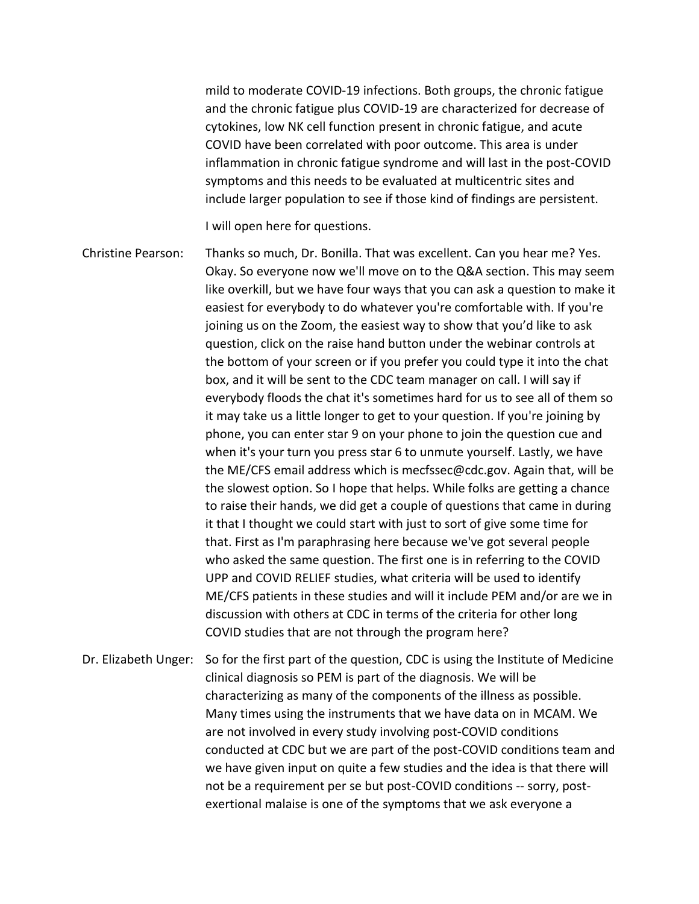mild to moderate COVID-19 infections. Both groups, the chronic fatigue and the chronic fatigue plus COVID-19 are characterized for decrease of cytokines, low NK cell function present in chronic fatigue, and acute COVID have been correlated with poor outcome. This area is under inflammation in chronic fatigue syndrome and will last in the post-COVID symptoms and this needs to be evaluated at multicentric sites and include larger population to see if those kind of findings are persistent.

I will open here for questions.

Christine Pearson: Thanks so much, Dr. Bonilla. That was excellent. Can you hear me? Yes. Okay. So everyone now we'll move on to the Q&A section. This may seem like overkill, but we have four ways that you can ask a question to make it easiest for everybody to do whatever you're comfortable with. If you're joining us on the Zoom, the easiest way to show that you'd like to ask question, click on the raise hand button under the webinar controls at the bottom of your screen or if you prefer you could type it into the chat box, and it will be sent to the CDC team manager on call. I will say if everybody floods the chat it's sometimes hard for us to see all of them so it may take us a little longer to get to your question. If you're joining by phone, you can enter star 9 on your phone to join the question cue and when it's your turn you press star 6 to unmute yourself. Lastly, we have the ME/CFS email address which is mecfssec@cdc.gov. Again that, will be the slowest option. So I hope that helps. While folks are getting a chance to raise their hands, we did get a couple of questions that came in during it that I thought we could start with just to sort of give some time for that. First as I'm paraphrasing here because we've got several people who asked the same question. The first one is in referring to the COVID UPP and COVID RELIEF studies, what criteria will be used to identify ME/CFS patients in these studies and will it include PEM and/or are we in discussion with others at CDC in terms of the criteria for other long COVID studies that are not through the program here?

Dr. Elizabeth Unger: So for the first part of the question, CDC is using the Institute of Medicine clinical diagnosis so PEM is part of the diagnosis. We will be characterizing as many of the components of the illness as possible. Many times using the instruments that we have data on in MCAM. We are not involved in every study involving post-COVID conditions conducted at CDC but we are part of the post-COVID conditions team and we have given input on quite a few studies and the idea is that there will not be a requirement per se but post-COVID conditions -- sorry, postexertional malaise is one of the symptoms that we ask everyone a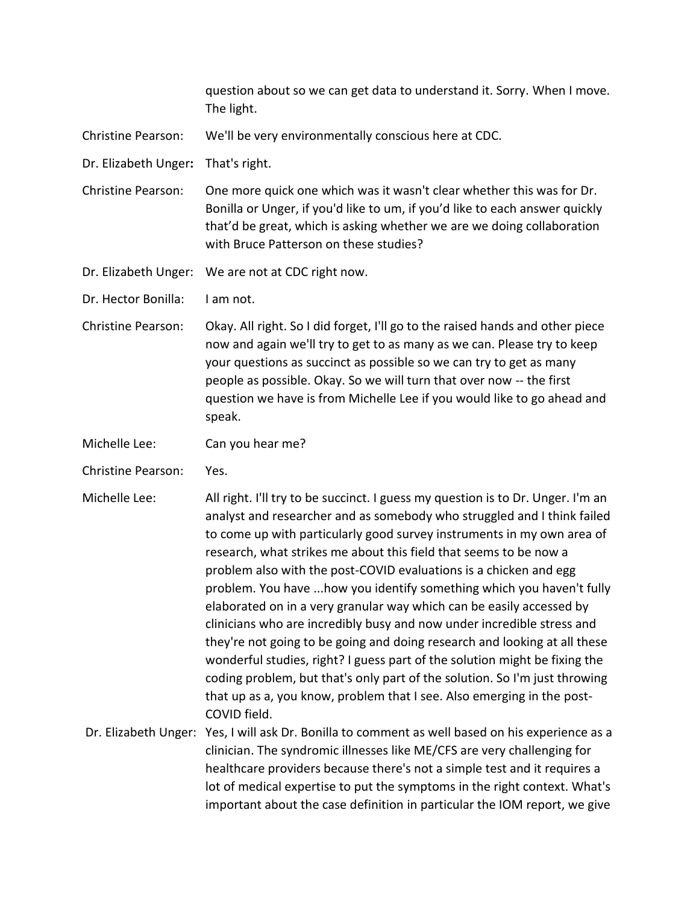question about so we can get data to understand it. Sorry. When I move. The light.

Christine Pearson: We'll be very environmentally conscious here at CDC.

Dr. Elizabeth Unger**:** That's right.

Christine Pearson: One more quick one which was it wasn't clear whether this was for Dr. Bonilla or Unger, if you'd like to um, if you'd like to each answer quickly that'd be great, which is asking whether we are we doing collaboration with Bruce Patterson on these studies?

Dr. Elizabeth Unger: We are not at CDC right now.

Dr. Hector Bonilla: I am not.

Christine Pearson: Okay. All right. So I did forget, I'll go to the raised hands and other piece now and again we'll try to get to as many as we can. Please try to keep your questions as succinct as possible so we can try to get as many people as possible. Okay. So we will turn that over now -- the first question we have is from Michelle Lee if you would like to go ahead and speak.

- Michelle Lee: Can you hear me?
- Christine Pearson: Yes.
- Michelle Lee: All right. I'll try to be succinct. I guess my question is to Dr. Unger. I'm an analyst and researcher and as somebody who struggled and I think failed to come up with particularly good survey instruments in my own area of research, what strikes me about this field that seems to be now a problem also with the post-COVID evaluations is a chicken and egg problem. You have ...how you identify something which you haven't fully elaborated on in a very granular way which can be easily accessed by clinicians who are incredibly busy and now under incredible stress and they're not going to be going and doing research and looking at all these wonderful studies, right? I guess part of the solution might be fixing the coding problem, but that's only part of the solution. So I'm just throwing that up as a, you know, problem that I see. Also emerging in the post-COVID field.

Dr. Elizabeth Unger: Yes, I will ask Dr. Bonilla to comment as well based on his experience as a clinician. The syndromic illnesses like ME/CFS are very challenging for healthcare providers because there's not a simple test and it requires a lot of medical expertise to put the symptoms in the right context. What's important about the case definition in particular the IOM report, we give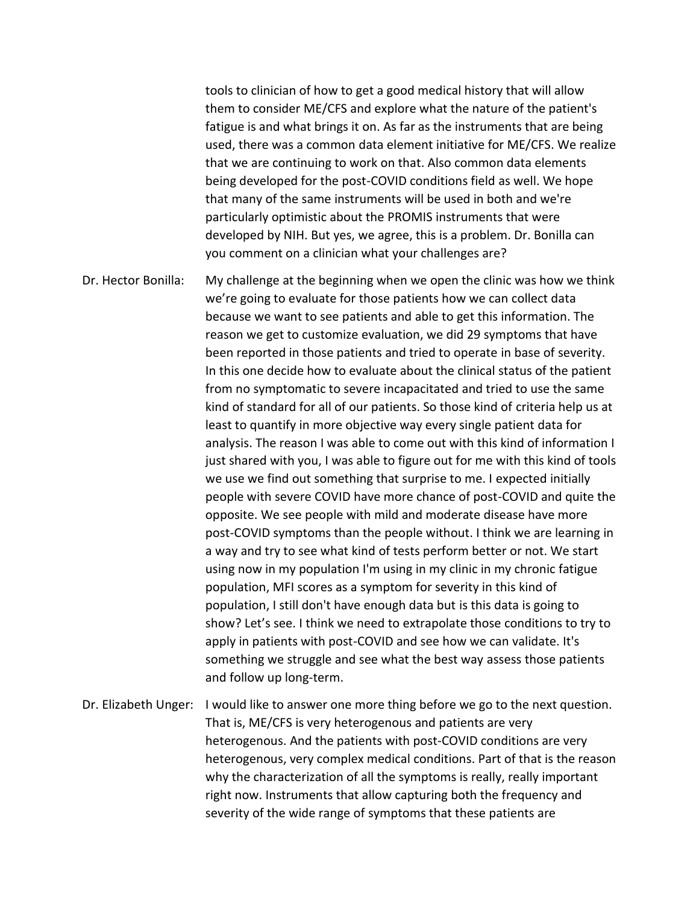tools to clinician of how to get a good medical history that will allow them to consider ME/CFS and explore what the nature of the patient's fatigue is and what brings it on. As far as the instruments that are being used, there was a common data element initiative for ME/CFS. We realize that we are continuing to work on that. Also common data elements being developed for the post-COVID conditions field as well. We hope that many of the same instruments will be used in both and we're particularly optimistic about the PROMIS instruments that were developed by NIH. But yes, we agree, this is a problem. Dr. Bonilla can you comment on a clinician what your challenges are?

Dr. Hector Bonilla: My challenge at the beginning when we open the clinic was how we think we're going to evaluate for those patients how we can collect data because we want to see patients and able to get this information. The reason we get to customize evaluation, we did 29 symptoms that have been reported in those patients and tried to operate in base of severity. In this one decide how to evaluate about the clinical status of the patient from no symptomatic to severe incapacitated and tried to use the same kind of standard for all of our patients. So those kind of criteria help us at least to quantify in more objective way every single patient data for analysis. The reason I was able to come out with this kind of information I just shared with you, I was able to figure out for me with this kind of tools we use we find out something that surprise to me. I expected initially people with severe COVID have more chance of post-COVID and quite the opposite. We see people with mild and moderate disease have more post-COVID symptoms than the people without. I think we are learning in a way and try to see what kind of tests perform better or not. We start using now in my population I'm using in my clinic in my chronic fatigue population, MFI scores as a symptom for severity in this kind of population, I still don't have enough data but is this data is going to show? Let's see. I think we need to extrapolate those conditions to try to apply in patients with post-COVID and see how we can validate. It's something we struggle and see what the best way assess those patients and follow up long-term.

Dr. Elizabeth Unger: I would like to answer one more thing before we go to the next question. That is, ME/CFS is very heterogenous and patients are very heterogenous. And the patients with post-COVID conditions are very heterogenous, very complex medical conditions. Part of that is the reason why the characterization of all the symptoms is really, really important right now. Instruments that allow capturing both the frequency and severity of the wide range of symptoms that these patients are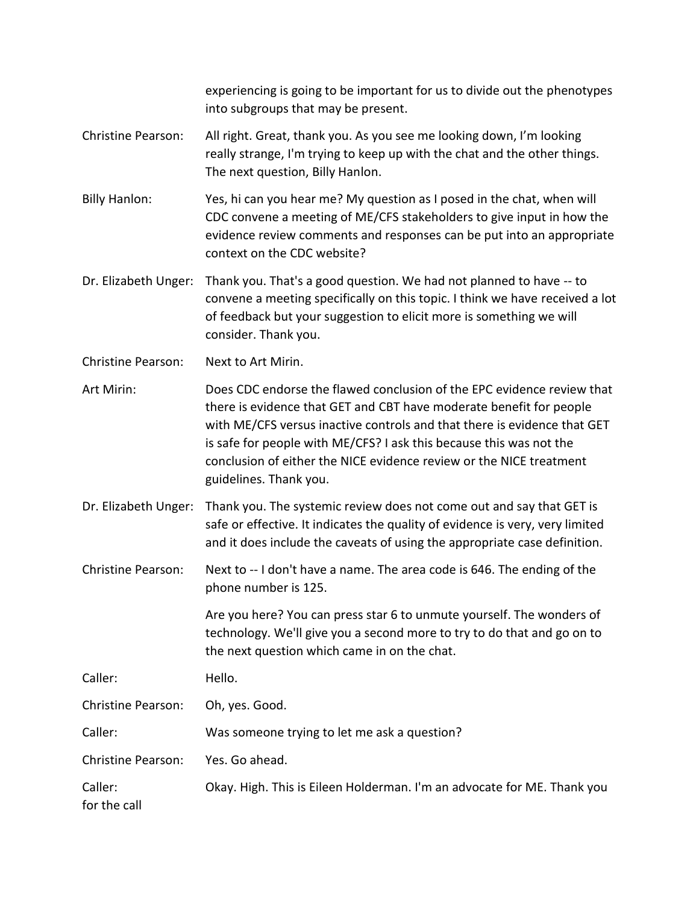experiencing is going to be important for us to divide out the phenotypes into subgroups that may be present.

- Christine Pearson: All right. Great, thank you. As you see me looking down, I'm looking really strange, I'm trying to keep up with the chat and the other things. The next question, Billy Hanlon.
- Billy Hanlon: Yes, hi can you hear me? My question as I posed in the chat, when will CDC convene a meeting of ME/CFS stakeholders to give input in how the evidence review comments and responses can be put into an appropriate context on the CDC website?
- Dr. Elizabeth Unger: Thank you. That's a good question. We had not planned to have -- to convene a meeting specifically on this topic. I think we have received a lot of feedback but your suggestion to elicit more is something we will consider. Thank you.

Christine Pearson: Next to Art Mirin.

Art Mirin: Does CDC endorse the flawed conclusion of the EPC evidence review that there is evidence that GET and CBT have moderate benefit for people with ME/CFS versus inactive controls and that there is evidence that GET is safe for people with ME/CFS? I ask this because this was not the conclusion of either the NICE evidence review or the NICE treatment guidelines. Thank you.

Dr. Elizabeth Unger: Thank you. The systemic review does not come out and say that GET is safe or effective. It indicates the quality of evidence is very, very limited and it does include the caveats of using the appropriate case definition.

Christine Pearson: Next to -- I don't have a name. The area code is 646. The ending of the phone number is 125.

> Are you here? You can press star 6 to unmute yourself. The wonders of technology. We'll give you a second more to try to do that and go on to the next question which came in on the chat.

Caller: Hello.

Christine Pearson: Oh, yes. Good.

Caller: Was someone trying to let me ask a question?

Christine Pearson: Yes. Go ahead.

Caller: Okay. High. This is Eileen Holderman. I'm an advocate for ME. Thank you

for the call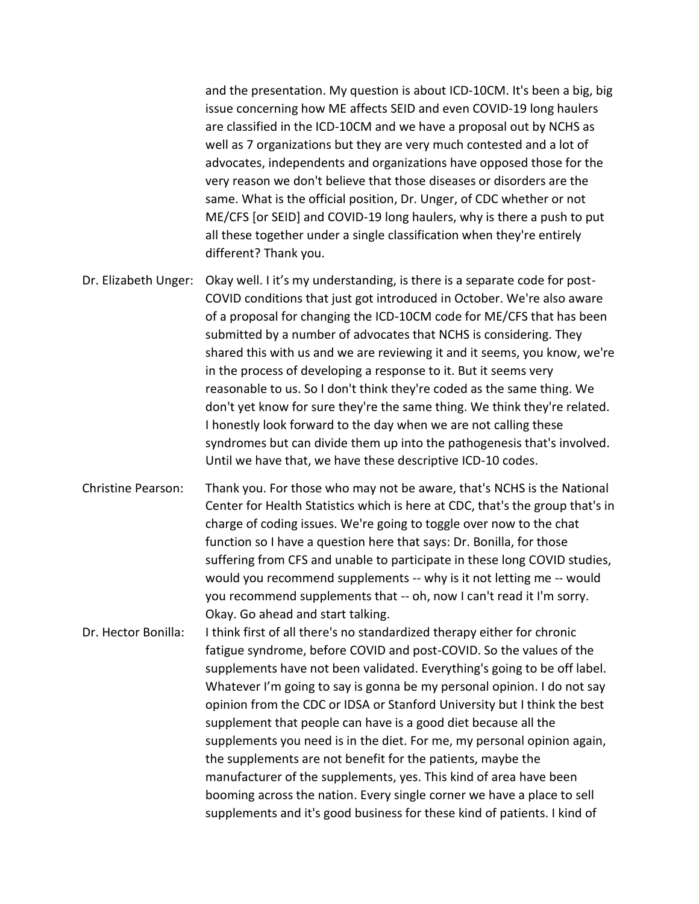and the presentation. My question is about ICD-10CM. It's been a big, big issue concerning how ME affects SEID and even COVID-19 long haulers are classified in the ICD-10CM and we have a proposal out by NCHS as well as 7 organizations but they are very much contested and a lot of advocates, independents and organizations have opposed those for the very reason we don't believe that those diseases or disorders are the same. What is the official position, Dr. Unger, of CDC whether or not ME/CFS [or SEID] and COVID-19 long haulers, why is there a push to put all these together under a single classification when they're entirely different? Thank you.

- Dr. Elizabeth Unger: Okay well. I it's my understanding, is there is a separate code for post-COVID conditions that just got introduced in October. We're also aware of a proposal for changing the ICD-10CM code for ME/CFS that has been submitted by a number of advocates that NCHS is considering. They shared this with us and we are reviewing it and it seems, you know, we're in the process of developing a response to it. But it seems very reasonable to us. So I don't think they're coded as the same thing. We don't yet know for sure they're the same thing. We think they're related. I honestly look forward to the day when we are not calling these syndromes but can divide them up into the pathogenesis that's involved. Until we have that, we have these descriptive ICD-10 codes.
- Christine Pearson: Thank you. For those who may not be aware, that's NCHS is the National Center for Health Statistics which is here at CDC, that's the group that's in charge of coding issues. We're going to toggle over now to the chat function so I have a question here that says: Dr. Bonilla, for those suffering from CFS and unable to participate in these long COVID studies, would you recommend supplements -- why is it not letting me -- would you recommend supplements that -- oh, now I can't read it I'm sorry. Okay. Go ahead and start talking.
- Dr. Hector Bonilla: I think first of all there's no standardized therapy either for chronic fatigue syndrome, before COVID and post-COVID. So the values of the supplements have not been validated. Everything's going to be off label. Whatever I'm going to say is gonna be my personal opinion. I do not say opinion from the CDC or IDSA or Stanford University but I think the best supplement that people can have is a good diet because all the supplements you need is in the diet. For me, my personal opinion again, the supplements are not benefit for the patients, maybe the manufacturer of the supplements, yes. This kind of area have been booming across the nation. Every single corner we have a place to sell supplements and it's good business for these kind of patients. I kind of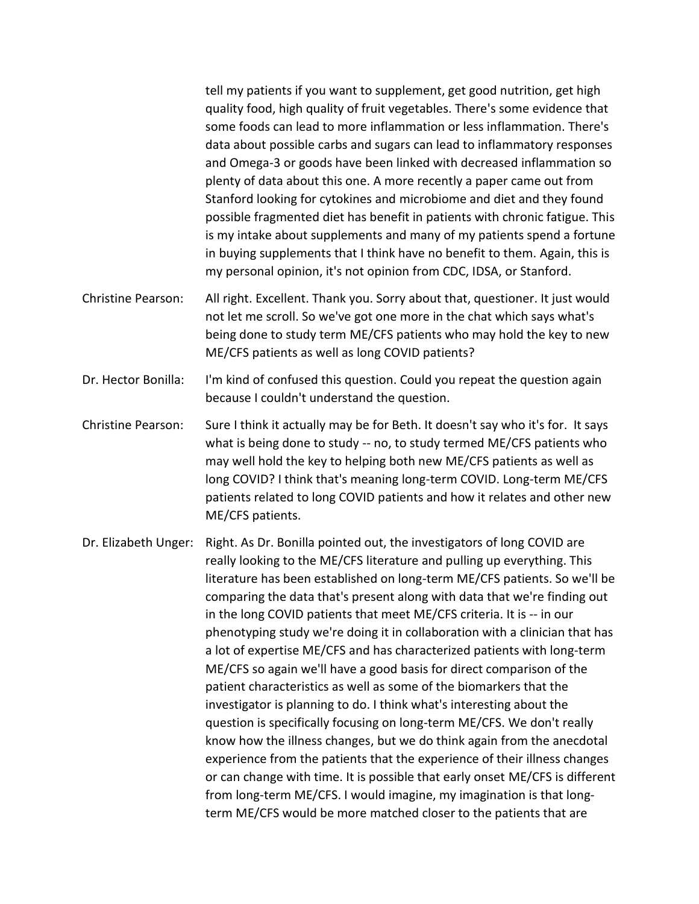tell my patients if you want to supplement, get good nutrition, get high quality food, high quality of fruit vegetables. There's some evidence that some foods can lead to more inflammation or less inflammation. There's data about possible carbs and sugars can lead to inflammatory responses and Omega-3 or goods have been linked with decreased inflammation so plenty of data about this one. A more recently a paper came out from Stanford looking for cytokines and microbiome and diet and they found possible fragmented diet has benefit in patients with chronic fatigue. This is my intake about supplements and many of my patients spend a fortune in buying supplements that I think have no benefit to them. Again, this is my personal opinion, it's not opinion from CDC, IDSA, or Stanford.

- Christine Pearson: All right. Excellent. Thank you. Sorry about that, questioner. It just would not let me scroll. So we've got one more in the chat which says what's being done to study term ME/CFS patients who may hold the key to new ME/CFS patients as well as long COVID patients?
- Dr. Hector Bonilla: I'm kind of confused this question. Could you repeat the question again because I couldn't understand the question.
- Christine Pearson: Sure I think it actually may be for Beth. It doesn't say who it's for. It says what is being done to study -- no, to study termed ME/CFS patients who may well hold the key to helping both new ME/CFS patients as well as long COVID? I think that's meaning long-term COVID. Long-term ME/CFS patients related to long COVID patients and how it relates and other new ME/CFS patients.

Dr. Elizabeth Unger: Right. As Dr. Bonilla pointed out, the investigators of long COVID are really looking to the ME/CFS literature and pulling up everything. This literature has been established on long-term ME/CFS patients. So we'll be comparing the data that's present along with data that we're finding out in the long COVID patients that meet ME/CFS criteria. It is -- in our phenotyping study we're doing it in collaboration with a clinician that has a lot of expertise ME/CFS and has characterized patients with long-term ME/CFS so again we'll have a good basis for direct comparison of the patient characteristics as well as some of the biomarkers that the investigator is planning to do. I think what's interesting about the question is specifically focusing on long-term ME/CFS. We don't really know how the illness changes, but we do think again from the anecdotal experience from the patients that the experience of their illness changes or can change with time. It is possible that early onset ME/CFS is different from long-term ME/CFS. I would imagine, my imagination is that longterm ME/CFS would be more matched closer to the patients that are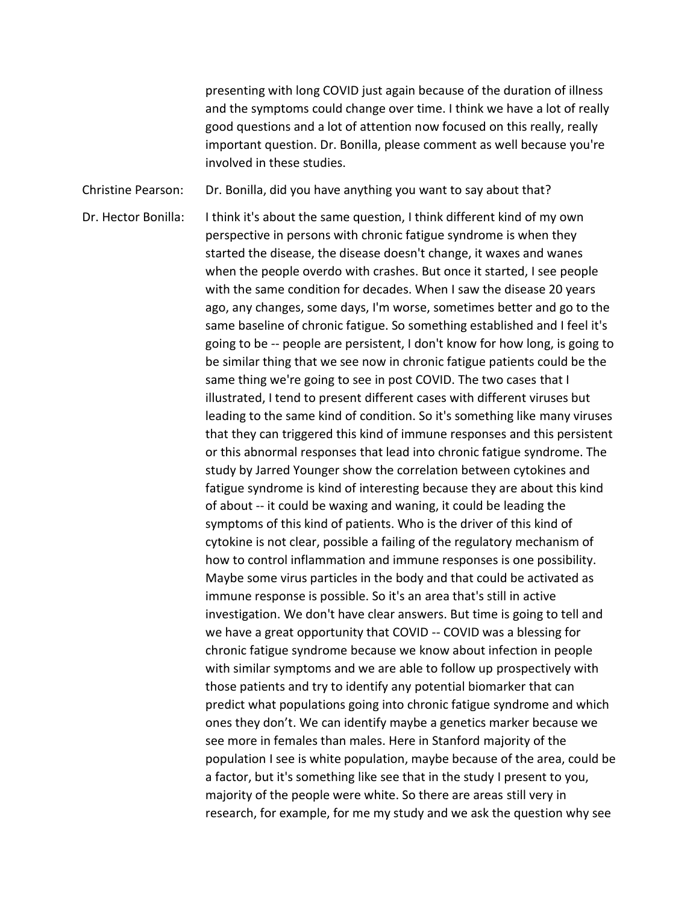presenting with long COVID just again because of the duration of illness and the symptoms could change over time. I think we have a lot of really good questions and a lot of attention now focused on this really, really important question. Dr. Bonilla, please comment as well because you're involved in these studies.

Christine Pearson: Dr. Bonilla, did you have anything you want to say about that?

Dr. Hector Bonilla: I think it's about the same question, I think different kind of my own perspective in persons with chronic fatigue syndrome is when they started the disease, the disease doesn't change, it waxes and wanes when the people overdo with crashes. But once it started, I see people with the same condition for decades. When I saw the disease 20 years ago, any changes, some days, I'm worse, sometimes better and go to the same baseline of chronic fatigue. So something established and I feel it's going to be -- people are persistent, I don't know for how long, is going to be similar thing that we see now in chronic fatigue patients could be the same thing we're going to see in post COVID. The two cases that I illustrated, I tend to present different cases with different viruses but leading to the same kind of condition. So it's something like many viruses that they can triggered this kind of immune responses and this persistent or this abnormal responses that lead into chronic fatigue syndrome. The study by Jarred Younger show the correlation between cytokines and fatigue syndrome is kind of interesting because they are about this kind of about -- it could be waxing and waning, it could be leading the symptoms of this kind of patients. Who is the driver of this kind of cytokine is not clear, possible a failing of the regulatory mechanism of how to control inflammation and immune responses is one possibility. Maybe some virus particles in the body and that could be activated as immune response is possible. So it's an area that's still in active investigation. We don't have clear answers. But time is going to tell and we have a great opportunity that COVID -- COVID was a blessing for chronic fatigue syndrome because we know about infection in people with similar symptoms and we are able to follow up prospectively with those patients and try to identify any potential biomarker that can predict what populations going into chronic fatigue syndrome and which ones they don't. We can identify maybe a genetics marker because we see more in females than males. Here in Stanford majority of the population I see is white population, maybe because of the area, could be a factor, but it's something like see that in the study I present to you, majority of the people were white. So there are areas still very in research, for example, for me my study and we ask the question why see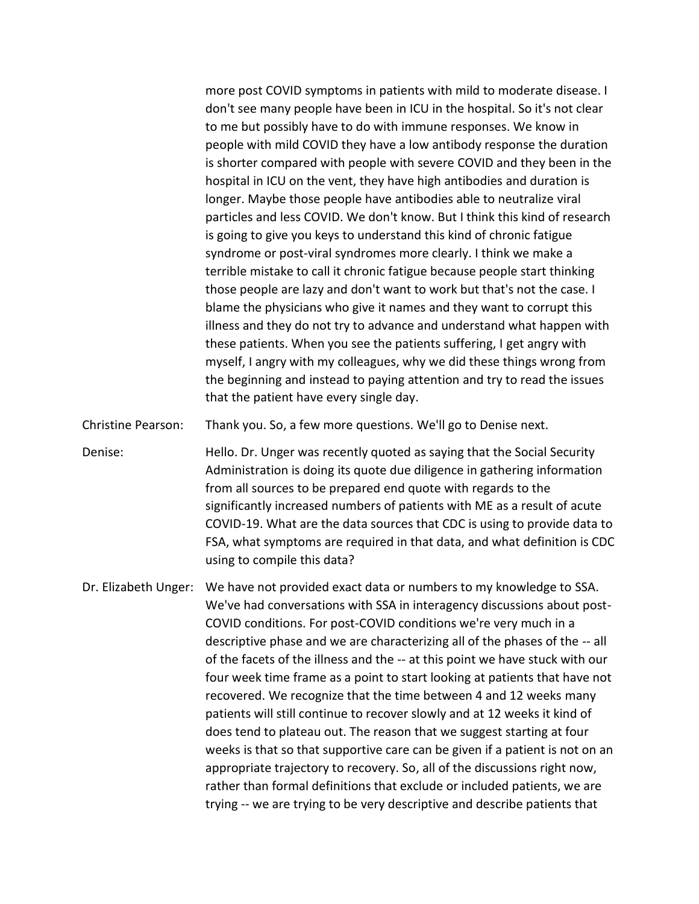more post COVID symptoms in patients with mild to moderate disease. I don't see many people have been in ICU in the hospital. So it's not clear to me but possibly have to do with immune responses. We know in people with mild COVID they have a low antibody response the duration is shorter compared with people with severe COVID and they been in the hospital in ICU on the vent, they have high antibodies and duration is longer. Maybe those people have antibodies able to neutralize viral particles and less COVID. We don't know. But I think this kind of research is going to give you keys to understand this kind of chronic fatigue syndrome or post-viral syndromes more clearly. I think we make a terrible mistake to call it chronic fatigue because people start thinking those people are lazy and don't want to work but that's not the case. I blame the physicians who give it names and they want to corrupt this illness and they do not try to advance and understand what happen with these patients. When you see the patients suffering, I get angry with myself, I angry with my colleagues, why we did these things wrong from the beginning and instead to paying attention and try to read the issues that the patient have every single day.

Christine Pearson: Thank you. So, a few more questions. We'll go to Denise next.

Denise: Hello. Dr. Unger was recently quoted as saying that the Social Security Administration is doing its quote due diligence in gathering information from all sources to be prepared end quote with regards to the significantly increased numbers of patients with ME as a result of acute COVID-19. What are the data sources that CDC is using to provide data to FSA, what symptoms are required in that data, and what definition is CDC using to compile this data?

Dr. Elizabeth Unger: We have not provided exact data or numbers to my knowledge to SSA. We've had conversations with SSA in interagency discussions about post-COVID conditions. For post-COVID conditions we're very much in a descriptive phase and we are characterizing all of the phases of the -- all of the facets of the illness and the -- at this point we have stuck with our four week time frame as a point to start looking at patients that have not recovered. We recognize that the time between 4 and 12 weeks many patients will still continue to recover slowly and at 12 weeks it kind of does tend to plateau out. The reason that we suggest starting at four weeks is that so that supportive care can be given if a patient is not on an appropriate trajectory to recovery. So, all of the discussions right now, rather than formal definitions that exclude or included patients, we are trying -- we are trying to be very descriptive and describe patients that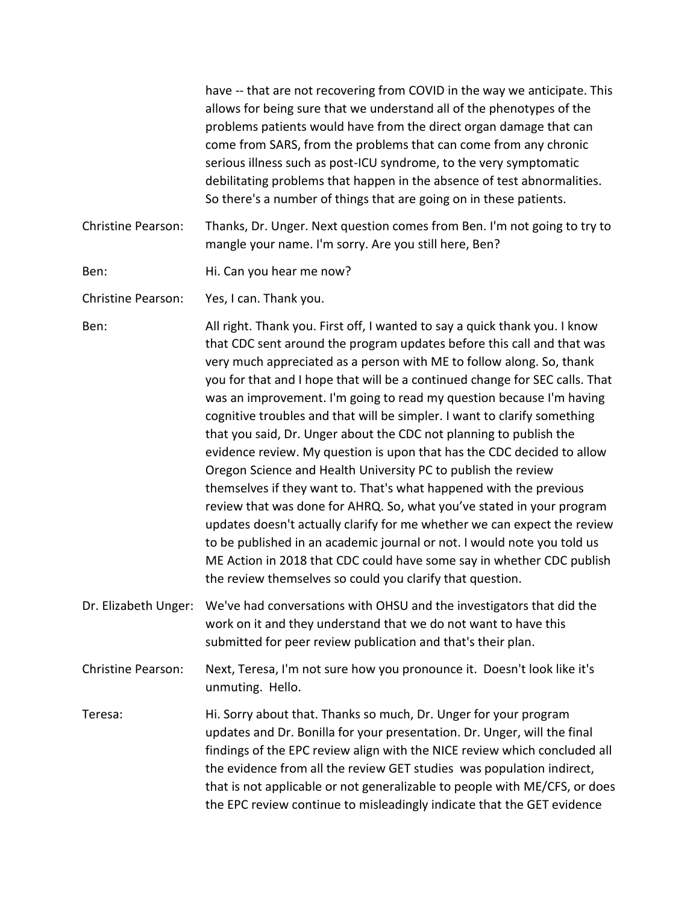|                           | have -- that are not recovering from COVID in the way we anticipate. This<br>allows for being sure that we understand all of the phenotypes of the<br>problems patients would have from the direct organ damage that can<br>come from SARS, from the problems that can come from any chronic<br>serious illness such as post-ICU syndrome, to the very symptomatic<br>debilitating problems that happen in the absence of test abnormalities.<br>So there's a number of things that are going on in these patients.                                                                                                                                                                                                                                                                                                                                                                                                                                                                                                                                                                                                          |
|---------------------------|------------------------------------------------------------------------------------------------------------------------------------------------------------------------------------------------------------------------------------------------------------------------------------------------------------------------------------------------------------------------------------------------------------------------------------------------------------------------------------------------------------------------------------------------------------------------------------------------------------------------------------------------------------------------------------------------------------------------------------------------------------------------------------------------------------------------------------------------------------------------------------------------------------------------------------------------------------------------------------------------------------------------------------------------------------------------------------------------------------------------------|
| <b>Christine Pearson:</b> | Thanks, Dr. Unger. Next question comes from Ben. I'm not going to try to<br>mangle your name. I'm sorry. Are you still here, Ben?                                                                                                                                                                                                                                                                                                                                                                                                                                                                                                                                                                                                                                                                                                                                                                                                                                                                                                                                                                                            |
| Ben:                      | Hi. Can you hear me now?                                                                                                                                                                                                                                                                                                                                                                                                                                                                                                                                                                                                                                                                                                                                                                                                                                                                                                                                                                                                                                                                                                     |
| <b>Christine Pearson:</b> | Yes, I can. Thank you.                                                                                                                                                                                                                                                                                                                                                                                                                                                                                                                                                                                                                                                                                                                                                                                                                                                                                                                                                                                                                                                                                                       |
| Ben:                      | All right. Thank you. First off, I wanted to say a quick thank you. I know<br>that CDC sent around the program updates before this call and that was<br>very much appreciated as a person with ME to follow along. So, thank<br>you for that and I hope that will be a continued change for SEC calls. That<br>was an improvement. I'm going to read my question because I'm having<br>cognitive troubles and that will be simpler. I want to clarify something<br>that you said, Dr. Unger about the CDC not planning to publish the<br>evidence review. My question is upon that has the CDC decided to allow<br>Oregon Science and Health University PC to publish the review<br>themselves if they want to. That's what happened with the previous<br>review that was done for AHRQ. So, what you've stated in your program<br>updates doesn't actually clarify for me whether we can expect the review<br>to be published in an academic journal or not. I would note you told us<br>ME Action in 2018 that CDC could have some say in whether CDC publish<br>the review themselves so could you clarify that question. |
| Dr. Elizabeth Unger:      | We've had conversations with OHSU and the investigators that did the<br>work on it and they understand that we do not want to have this<br>submitted for peer review publication and that's their plan.                                                                                                                                                                                                                                                                                                                                                                                                                                                                                                                                                                                                                                                                                                                                                                                                                                                                                                                      |
| <b>Christine Pearson:</b> | Next, Teresa, I'm not sure how you pronounce it. Doesn't look like it's<br>unmuting. Hello.                                                                                                                                                                                                                                                                                                                                                                                                                                                                                                                                                                                                                                                                                                                                                                                                                                                                                                                                                                                                                                  |
| Teresa:                   | Hi. Sorry about that. Thanks so much, Dr. Unger for your program<br>updates and Dr. Bonilla for your presentation. Dr. Unger, will the final<br>findings of the EPC review align with the NICE review which concluded all<br>the evidence from all the review GET studies was population indirect,<br>that is not applicable or not generalizable to people with ME/CFS, or does<br>the EPC review continue to misleadingly indicate that the GET evidence                                                                                                                                                                                                                                                                                                                                                                                                                                                                                                                                                                                                                                                                   |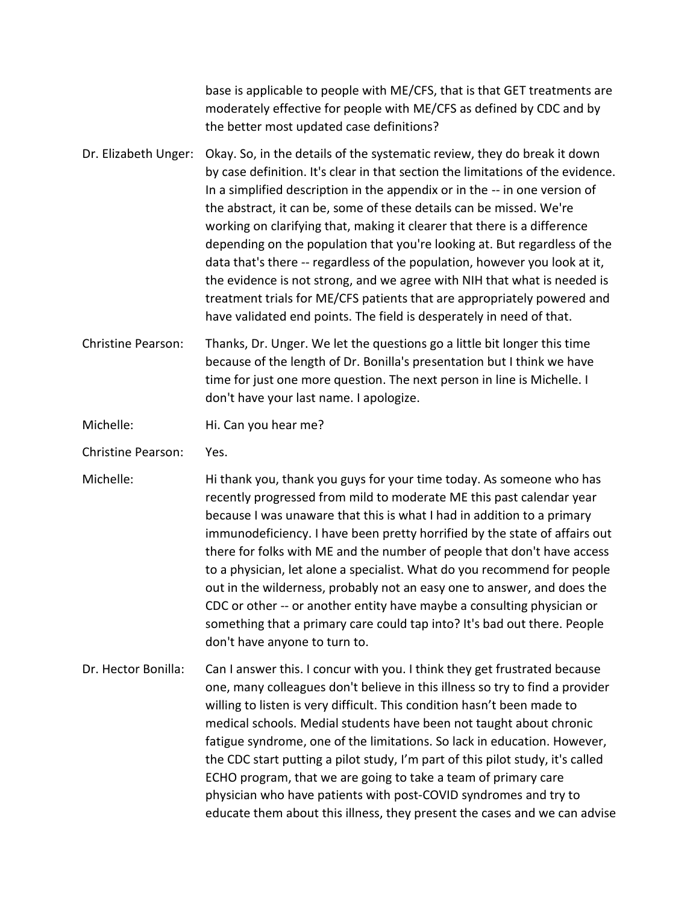|                           | base is applicable to people with ME/CFS, that is that GET treatments are<br>moderately effective for people with ME/CFS as defined by CDC and by<br>the better most updated case definitions?                                                                                                                                                                                                                                                                                                                                                                                                                                                                                                                                                                                         |
|---------------------------|----------------------------------------------------------------------------------------------------------------------------------------------------------------------------------------------------------------------------------------------------------------------------------------------------------------------------------------------------------------------------------------------------------------------------------------------------------------------------------------------------------------------------------------------------------------------------------------------------------------------------------------------------------------------------------------------------------------------------------------------------------------------------------------|
| Dr. Elizabeth Unger:      | Okay. So, in the details of the systematic review, they do break it down<br>by case definition. It's clear in that section the limitations of the evidence.<br>In a simplified description in the appendix or in the -- in one version of<br>the abstract, it can be, some of these details can be missed. We're<br>working on clarifying that, making it clearer that there is a difference<br>depending on the population that you're looking at. But regardless of the<br>data that's there -- regardless of the population, however you look at it,<br>the evidence is not strong, and we agree with NIH that what is needed is<br>treatment trials for ME/CFS patients that are appropriately powered and<br>have validated end points. The field is desperately in need of that. |
| <b>Christine Pearson:</b> | Thanks, Dr. Unger. We let the questions go a little bit longer this time<br>because of the length of Dr. Bonilla's presentation but I think we have<br>time for just one more question. The next person in line is Michelle. I<br>don't have your last name. I apologize.                                                                                                                                                                                                                                                                                                                                                                                                                                                                                                              |
| Michelle:                 | Hi. Can you hear me?                                                                                                                                                                                                                                                                                                                                                                                                                                                                                                                                                                                                                                                                                                                                                                   |
| <b>Christine Pearson:</b> | Yes.                                                                                                                                                                                                                                                                                                                                                                                                                                                                                                                                                                                                                                                                                                                                                                                   |
| Michelle:                 | Hi thank you, thank you guys for your time today. As someone who has<br>recently progressed from mild to moderate ME this past calendar year<br>because I was unaware that this is what I had in addition to a primary<br>immunodeficiency. I have been pretty horrified by the state of affairs out<br>there for folks with ME and the number of people that don't have access<br>to a physician, let alone a specialist. What do you recommend for people<br>out in the wilderness, probably not an easy one to answer, and does the<br>CDC or other -- or another entity have maybe a consulting physician or<br>something that a primary care could tap into? It's bad out there. People<br>don't have anyone to turn to.                                                          |
| Dr. Hector Bonilla:       | Can I answer this. I concur with you. I think they get frustrated because<br>one, many colleagues don't believe in this illness so try to find a provider<br>willing to listen is very difficult. This condition hasn't been made to<br>medical schools. Medial students have been not taught about chronic<br>fatigue syndrome, one of the limitations. So lack in education. However,<br>the CDC start putting a pilot study, I'm part of this pilot study, it's called<br>ECHO program, that we are going to take a team of primary care<br>physician who have patients with post-COVID syndromes and try to<br>educate them about this illness, they present the cases and we can advise                                                                                           |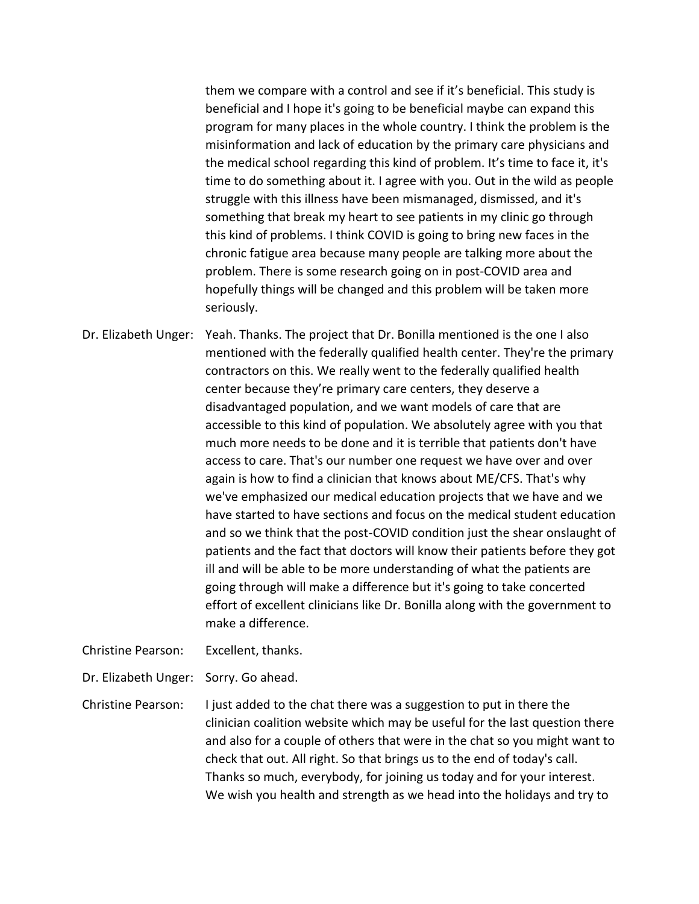them we compare with a control and see if it's beneficial. This study is beneficial and I hope it's going to be beneficial maybe can expand this program for many places in the whole country. I think the problem is the misinformation and lack of education by the primary care physicians and the medical school regarding this kind of problem. It's time to face it, it's time to do something about it. I agree with you. Out in the wild as people struggle with this illness have been mismanaged, dismissed, and it's something that break my heart to see patients in my clinic go through this kind of problems. I think COVID is going to bring new faces in the chronic fatigue area because many people are talking more about the problem. There is some research going on in post-COVID area and hopefully things will be changed and this problem will be taken more seriously.

Dr. Elizabeth Unger: Yeah. Thanks. The project that Dr. Bonilla mentioned is the one I also mentioned with the federally qualified health center. They're the primary contractors on this. We really went to the federally qualified health center because they're primary care centers, they deserve a disadvantaged population, and we want models of care that are accessible to this kind of population. We absolutely agree with you that much more needs to be done and it is terrible that patients don't have access to care. That's our number one request we have over and over again is how to find a clinician that knows about ME/CFS. That's why we've emphasized our medical education projects that we have and we have started to have sections and focus on the medical student education and so we think that the post-COVID condition just the shear onslaught of patients and the fact that doctors will know their patients before they got ill and will be able to be more understanding of what the patients are going through will make a difference but it's going to take concerted effort of excellent clinicians like Dr. Bonilla along with the government to make a difference.

Christine Pearson: Excellent, thanks.

Dr. Elizabeth Unger: Sorry. Go ahead.

Christine Pearson: I just added to the chat there was a suggestion to put in there the clinician coalition website which may be useful for the last question there and also for a couple of others that were in the chat so you might want to check that out. All right. So that brings us to the end of today's call. Thanks so much, everybody, for joining us today and for your interest. We wish you health and strength as we head into the holidays and try to